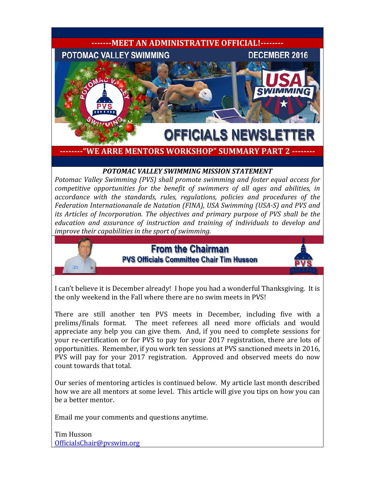

**--------"WE ARRE MENTORS WORKSHOP" SUMMARY PART 2 --------**

# *POTOMAC VALLEY SWIMMING MISSION STATEMENT*

*Potomac Valley Swimming (PVS) shall promote swimming and foster equal access for competitive opportunities for the benefit of swimmers of all ages and abilities, in accordance with the standards, rules, regulations, policies and procedures of the Federation Internationanale de Natation (FINA), USA Swimming (USA-S) and PVS and its Articles of Incorporation. The objectives and primary purpose of PVS shall be the education and assurance of instruction and training of individuals to develop and improve their capabilities in the sport of swimming.*

# **From the Chairman PVS Officials Committee Chair Tim Husson**



I can't believe it is December already! I hope you had a wonderful Thanksgiving. It is the only weekend in the Fall where there are no swim meets in PVS!

There are still another ten PVS meets in December, including five with a prelims/finals format. The meet referees all need more officials and would appreciate any help you can give them. And, if you need to complete sessions for your re-certification or for PVS to pay for your 2017 registration, there are lots of opportunities. Remember, if you work ten sessions at PVS sanctioned meets in 2016, PVS will pay for your 2017 registration. Approved and observed meets do now count towards that total.

Our series of mentoring articles is continued below. My article last month described how we are all mentors at some level. This article will give you tips on how you can be a better mentor.

Email me your comments and questions anytime.

Tim Husson [OfficialsChair@pvswim.org](mailto:OfficialsChair@pvswim.org)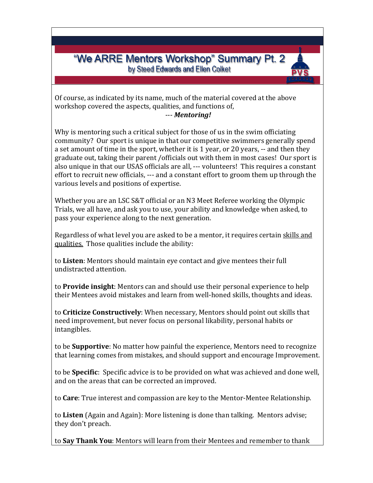"We ARRE Mentors Workshop" Summary Pt. 2 by Steed Edwards and Ellen Colket

Of course, as indicated by its name, much of the material covered at the above workshop covered the aspects, qualities, and functions of,

#### --- *Mentoring!*

Why is mentoring such a critical subject for those of us in the swim officiating community? Our sport is unique in that our competitive swimmers generally spend a set amount of time in the sport, whether it is 1 year, or 20 years, -- and then they graduate out, taking their parent /officials out with them in most cases! Our sport is also unique in that our USAS officials are all, --- volunteers! This requires a constant effort to recruit new officials, --- and a constant effort to groom them up through the various levels and positions of expertise.

Whether you are an LSC S&T official or an N3 Meet Referee working the Olympic Trials, we all have, and ask you to use, your ability and knowledge when asked, to pass your experience along to the next generation.

Regardless of what level you are asked to be a mentor, it requires certain skills and qualities. Those qualities include the ability:

to **Listen**: Mentors should maintain eye contact and give mentees their full undistracted attention.

to **Provide insight**: Mentors can and should use their personal experience to help their Mentees avoid mistakes and learn from well-honed skills, thoughts and ideas.

to **Criticize Constructively**: When necessary, Mentors should point out skills that need improvement, but never focus on personal likability, personal habits or intangibles.

to be **Supportive**: No matter how painful the experience, Mentors need to recognize that learning comes from mistakes, and should support and encourage Improvement.

to be **Specific**: Specific advice is to be provided on what was achieved and done well, and on the areas that can be corrected an improved.

to **Care**: True interest and compassion are key to the Mentor-Mentee Relationship.

to **Listen** (Again and Again): More listening is done than talking. Mentors advise; they don't preach.

to **Say Thank You**: Mentors will learn from their Mentees and remember to thank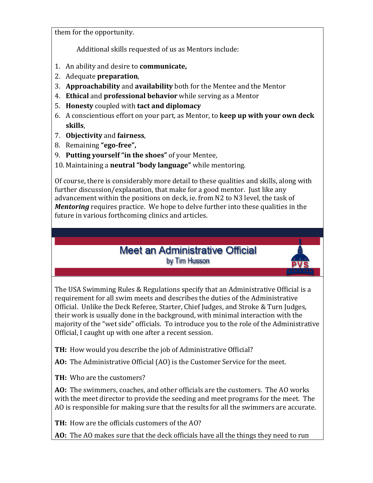them for the opportunity.

Additional skills requested of us as Mentors include:

- 1. An ability and desire to **communicate,**
- 2. Adequate **preparation**,
- 3. **Approachability** and **availability** both for the Mentee and the Mentor
- 4. **Ethical** and **professional behavior** while serving as a Mentor
- 5. **Honesty** coupled with **tact and diplomacy**
- 6. A conscientious effort on your part, as Mentor, to **keep up with your own deck skills**,
- 7. **Objectivity** and **fairness**,
- 8. Remaining **"ego-free",**
- 9. **Putting yourself "in the shoes"** of your Mentee,
- 10. Maintaining a **neutral "body language"** while mentoring.

Of course, there is considerably more detail to these qualities and skills, along with further discussion/explanation, that make for a good mentor. Just like any advancement within the positions on deck, ie. from N2 to N3 level, the task of *Mentoring* requires practice. We hope to delve further into these qualities in the future in various forthcoming clinics and articles.

# **Meet an Administrative Official** by Tim Husson

The USA Swimming Rules & Regulations specify that an Administrative Official is a requirement for all swim meets and describes the duties of the Administrative Official. Unlike the Deck Referee, Starter, Chief Judges, and Stroke & Turn Judges, their work is usually done in the background, with minimal interaction with the majority of the "wet side" officials. To introduce you to the role of the Administrative Official, I caught up with one after a recent session.

**TH:** How would you describe the job of Administrative Official?

**AO:** The Administrative Official (AO) is the Customer Service for the meet.

**TH:** Who are the customers?

**AO:** The swimmers, coaches, and other officials are the customers. The AO works with the meet director to provide the seeding and meet programs for the meet. The AO is responsible for making sure that the results for all the swimmers are accurate.

**TH:** How are the officials customers of the AO?

**AO:** The AO makes sure that the deck officials have all the things they need to run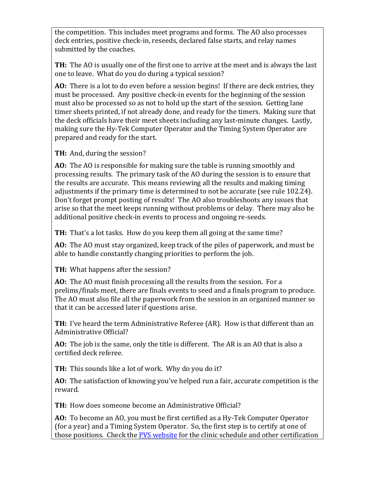the competition. This includes meet programs and forms. The AO also processes deck entries, positive check-in, reseeds, declared false starts, and relay names submitted by the coaches.

**TH:** The AO is usually one of the first one to arrive at the meet and is always the last one to leave. What do you do during a typical session?

**AO:** There is a lot to do even before a session begins! If there are deck entries, they must be processed. Any positive check-in events for the beginning of the session must also be processed so as not to hold up the start of the session. Getting lane timer sheets printed, if not already done, and ready for the timers. Making sure that the deck officials have their meet sheets including any last-minute changes. Lastly, making sure the Hy-Tek Computer Operator and the Timing System Operator are prepared and ready for the start.

**TH:** And, during the session?

**AO:** The AO is responsible for making sure the table is running smoothly and processing results. The primary task of the AO during the session is to ensure that the results are accurate. This means reviewing all the results and making timing adjustments if the primary time is determined to not be accurate (see rule 102.24). Don't forget prompt posting of results! The AO also troubleshoots any issues that arise so that the meet keeps running without problems or delay. There may also be additional positive check-in events to process and ongoing re-seeds.

**TH:** That's a lot tasks. How do you keep them all going at the same time?

**AO:** The AO must stay organized, keep track of the piles of paperwork, and must be able to handle constantly changing priorities to perform the job.

**TH:** What happens after the session?

**AO:** The AO must finish processing all the results from the session. For a prelims/finals meet, there are finals events to seed and a finals program to produce. The AO must also file all the paperwork from the session in an organized manner so that it can be accessed later if questions arise.

**TH:** I've heard the term Administrative Referee (AR). How is that different than an Administrative Official?

**AO:** The job is the same, only the title is different. The AR is an AO that is also a certified deck referee.

**TH:** This sounds like a lot of work. Why do you do it?

**AO:** The satisfaction of knowing you've helped run a fair, accurate competition is the reward.

**TH:** How does someone become an Administrative Official?

**AO:** To become an AO, you must be first certified as a Hy-Tek Computer Operator (for a year) and a Timing System Operator. So, the first step is to certify at one of those positions. Check the [PVS website](http://www.pvswim.org/official/index.html) for the clinic schedule and other certification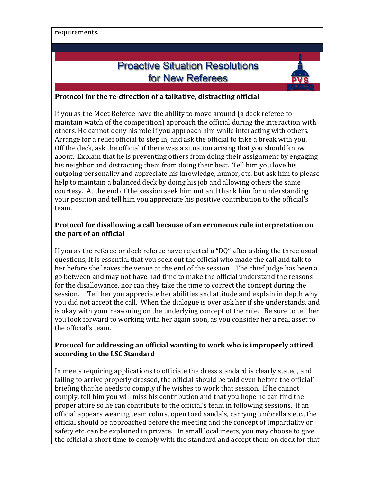requirements.

# **Proactive Situation Resolutions** for New Referees



### **Protocol for the re-direction of a talkative, distracting official**

If you as the Meet Referee have the ability to move around (a deck referee to maintain watch of the competition) approach the official during the interaction with others. He cannot deny his role if you approach him while interacting with others. Arrange for a relief official to step in, and ask the official to take a break with you. Off the deck, ask the official if there was a situation arising that you should know about. Explain that he is preventing others from doing their assignment by engaging his neighbor and distracting them from doing their best. Tell him you love his outgoing personality and appreciate his knowledge, humor, etc. but ask him to please help to maintain a balanced deck by doing his job and allowing others the same courtesy. At the end of the session seek him out and thank him for understanding your position and tell him you appreciate his positive contribution to the official's team.

### **Protocol for disallowing a call because of an erroneous rule interpretation on the part of an official**

If you as the referee or deck referee have rejected a "DQ" after asking the three usual questions, It is essential that you seek out the official who made the call and talk to her before she leaves the venue at the end of the session. The chief judge has been a go between and may not have had time to make the official understand the reasons for the disallowance, nor can they take the time to correct the concept during the session. Tell her you appreciate her abilities and attitude and explain in depth why you did not accept the call. When the dialogue is over ask her if she understands, and is okay with your reasoning on the underlying concept of the rule. Be sure to tell her you look forward to working with her again soon, as you consider her a real asset to the official's team.

## **Protocol for addressing an official wanting to work who is improperly attired according to the LSC Standard**

In meets requiring applications to officiate the dress standard is clearly stated, and failing to arrive properly dressed, the official should be told even before the official' briefing that he needs to comply if he wishes to work that session. If he cannot comply, tell him you will miss his contribution and that you hope he can find the proper attire so he can contribute to the official's team in following sessions. If an official appears wearing team colors, open toed sandals, carrying umbrella's etc., the official should be approached before the meeting and the concept of impartiality or safety etc. can be explained in private. In small local meets, you may choose to give the official a short time to comply with the standard and accept them on deck for that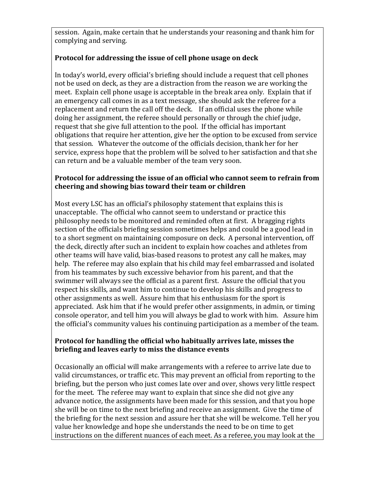session. Again, make certain that he understands your reasoning and thank him for complying and serving.

# **Protocol for addressing the issue of cell phone usage on deck**

In today's world, every official's briefing should include a request that cell phones not be used on deck, as they are a distraction from the reason we are working the meet. Explain cell phone usage is acceptable in the break area only. Explain that if an emergency call comes in as a text message, she should ask the referee for a replacement and return the call off the deck. If an official uses the phone while doing her assignment, the referee should personally or through the chief judge, request that she give full attention to the pool. If the official has important obligations that require her attention, give her the option to be excused from service that session. Whatever the outcome of the officials decision, thank her for her service, express hope that the problem will be solved to her satisfaction and that she can return and be a valuable member of the team very soon.

# **Protocol for addressing the issue of an official who cannot seem to refrain from cheering and showing bias toward their team or children**

Most every LSC has an official's philosophy statement that explains this is unacceptable. The official who cannot seem to understand or practice this philosophy needs to be monitored and reminded often at first. A bragging rights section of the officials briefing session sometimes helps and could be a good lead in to a short segment on maintaining composure on deck. A personal intervention, off the deck, directly after such an incident to explain how coaches and athletes from other teams will have valid, bias-based reasons to protest any call he makes, may help. The referee may also explain that his child may feel embarrassed and isolated from his teammates by such excessive behavior from his parent, and that the swimmer will always see the official as a parent first. Assure the official that you respect his skills, and want him to continue to develop his skills and progress to other assignments as well. Assure him that his enthusiasm for the sport is appreciated. Ask him that if he would prefer other assignments, in admin, or timing console operator, and tell him you will always be glad to work with him. Assure him the official's community values his continuing participation as a member of the team.

## **Protocol for handling the official who habitually arrives late, misses the briefing and leaves early to miss the distance events**

Occasionally an official will make arrangements with a referee to arrive late due to valid circumstances, or traffic etc. This may prevent an official from reporting to the briefing, but the person who just comes late over and over, shows very little respect for the meet. The referee may want to explain that since she did not give any advance notice, the assignments have been made for this session, and that you hope she will be on time to the next briefing and receive an assignment. Give the time of the briefing for the next session and assure her that she will be welcome. Tell her you value her knowledge and hope she understands the need to be on time to get instructions on the different nuances of each meet. As a referee, you may look at the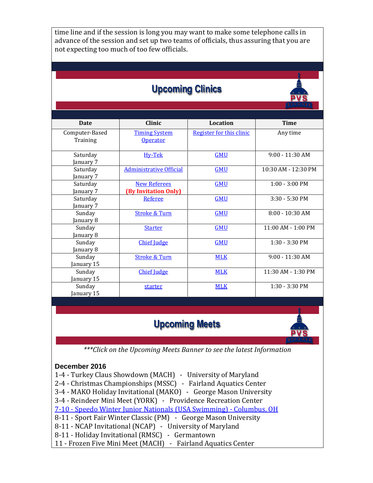time line and if the session is long you may want to make some telephone calls in advance of the session and set up two teams of officials, thus assuring that you are not expecting too much of too few officials.

# **Upcoming Clinics**



| <b>Date</b>    | <b>Clinic</b>                  | Location                 | <b>Time</b>              |
|----------------|--------------------------------|--------------------------|--------------------------|
| Computer-Based | <b>Timing System</b>           | Register for this clinic | Any time                 |
| Training       | <b>Operator</b>                |                          |                          |
| Saturday       | Hy-Tek                         | <b>GMU</b>               | $9:00 - 11:30$ AM        |
| January 7      |                                |                          |                          |
| Saturday       | <b>Administrative Official</b> | <b>GMU</b>               | 10:30 AM - 12:30 PM      |
| January 7      |                                |                          |                          |
| Saturday       | <b>New Referees</b>            | <b>GMU</b>               | $1:00 - 3:00 \text{ PM}$ |
| January 7      | (By Invitation Only)           |                          |                          |
| Saturday       | <b>Referee</b>                 | <b>GMU</b>               | $3:30 - 5:30$ PM         |
| January 7      |                                |                          |                          |
| Sunday         | <b>Stroke &amp; Turn</b>       | <b>GMU</b>               | $8:00 - 10:30$ AM        |
| January 8      |                                |                          |                          |
| Sunday         | <b>Starter</b>                 | <b>GMU</b>               | $11:00$ AM - $1:00$ PM   |
| January 8      |                                |                          |                          |
| Sunday         | <b>Chief Judge</b>             | <b>GMU</b>               | $1:30 - 3:30 \text{ PM}$ |
| January 8      |                                |                          |                          |
| Sunday         | <b>Stroke &amp; Turn</b>       | <b>MLK</b>               | $9:00 - 11:30$ AM        |
| January 15     |                                |                          |                          |
| Sunday         | <b>Chief Judge</b>             | <b>MLK</b>               | 11:30 AM - 1:30 PM       |
| January 15     |                                |                          |                          |
| Sunday         | starter                        | <b>MLK</b>               | $1:30 - 3:30$ PM         |
| January 15     |                                |                          |                          |

# **Upcoming Meets**



*\*\*\*Click on the Upcoming Meets Banner to see the latest Information*

### **December 2016**

1-4 - Turkey Claus Showdown (MACH) - University of Maryland

2-4 - Christmas Championships (MSSC) - Fairland Aquatics Center

3-4 - MAKO Holiday Invitational (MAKO) - George Mason University

3-4 - Reindeer Mini Meet (YORK) - Providence Recreation Center

7-10 - [Speedo Winter Junior Nationals \(USA Swimming\) -](http://www.usaswimming.org/DesktopDefault.aspx?TabId=2146&Alias=Rainbow&Lang=en) Columbus, OH

8-11 - Sport Fair Winter Classic (PM) - George Mason University

8-11 - NCAP Invitational (NCAP) - University of Maryland

8-11 - Holiday Invitational (RMSC) - Germantown

11 - Frozen Five Mini Meet (MACH) - Fairland Aquatics Center